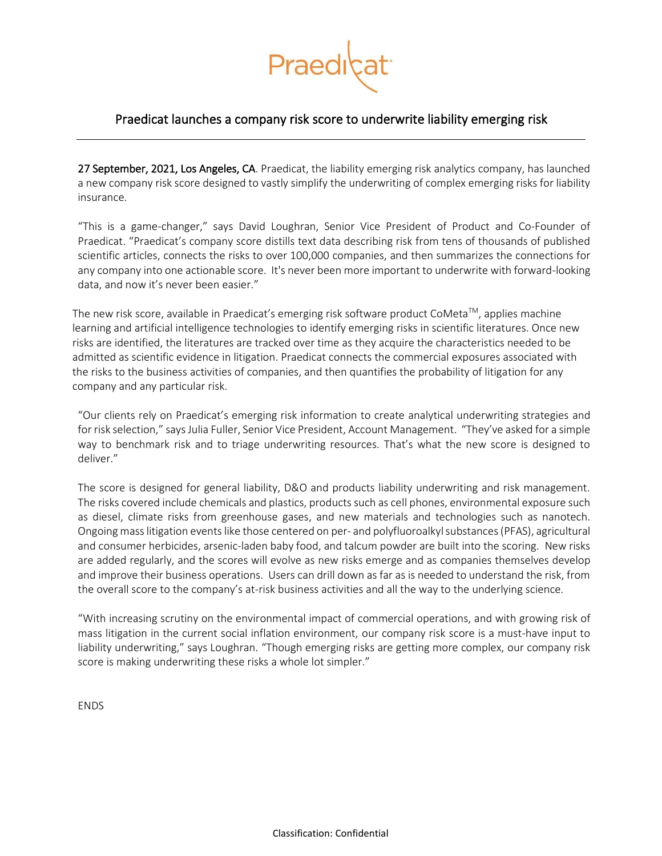

## Praedicat launches a company risk score to underwrite liability emerging risk

27 September, 2021, Los Angeles, CA. Praedicat, the liability emerging risk analytics company, has launched a new company risk score designed to vastly simplify the underwriting of complex emerging risks for liability insurance.

"This is a game-changer," says David Loughran, Senior Vice President of Product and Co-Founder of Praedicat. "Praedicat's company score distills text data describing risk from tens of thousands of published scientific articles, connects the risks to over 100,000 companies, and then summarizes the connections for any company into one actionable score. It's never been more important to underwrite with forward-looking data, and now it's never been easier."

The new risk score, available in Praedicat's emerging risk software product CoMeta<sup>TM</sup>, applies machine learning and artificial intelligence technologies to identify emerging risks in scientific literatures. Once new risks are identified, the literatures are tracked over time as they acquire the characteristics needed to be admitted as scientific evidence in litigation. Praedicat connects the commercial exposures associated with the risks to the business activities of companies, and then quantifies the probability of litigation for any company and any particular risk.

"Our clients rely on Praedicat's emerging risk information to create analytical underwriting strategies and for risk selection," saysJulia Fuller, Senior Vice President, Account Management. "They've asked for a simple way to benchmark risk and to triage underwriting resources. That's what the new score is designed to deliver."

The score is designed for general liability, D&O and products liability underwriting and risk management. The risks covered include chemicals and plastics, products such as cell phones, environmental exposure such as diesel, climate risks from greenhouse gases, and new materials and technologies such as nanotech. Ongoing mass litigation eventslike those centered on per- and polyfluoroalkyl substances(PFAS), agricultural and consumer herbicides, arsenic-laden baby food, and talcum powder are built into the scoring. New risks are added regularly, and the scores will evolve as new risks emerge and as companies themselves develop and improve their business operations. Users can drill down as far as is needed to understand the risk, from the overall score to the company's at-risk business activities and all the way to the underlying science.

"With increasing scrutiny on the environmental impact of commercial operations, and with growing risk of mass litigation in the current social inflation environment, our company risk score is a must-have input to liability underwriting," says Loughran. "Though emerging risks are getting more complex, our company risk score is making underwriting these risks a whole lot simpler."

**ENDS**